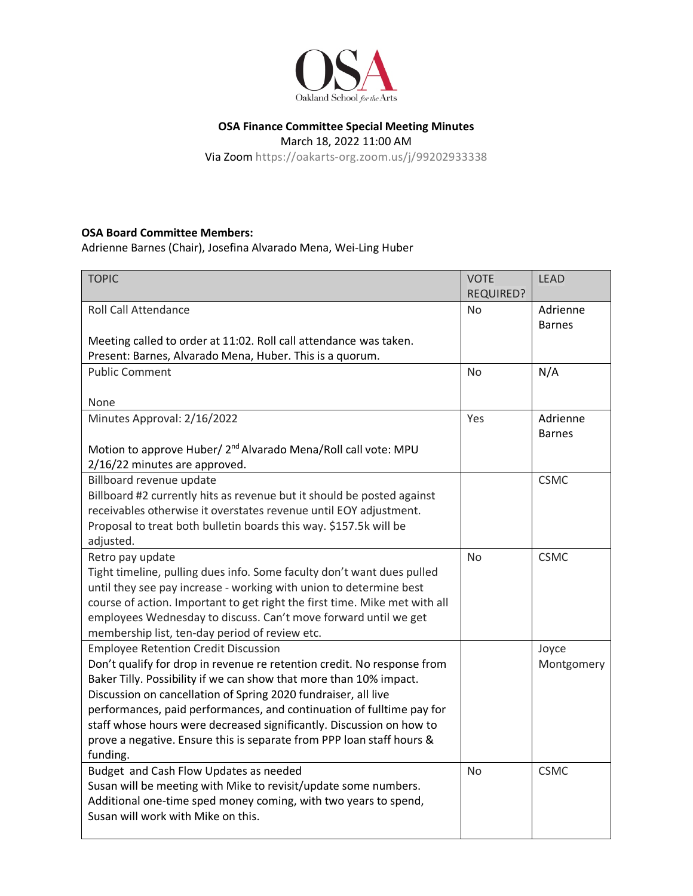

## **OSA Finance Committee Special Meeting Minutes**

March 18, 2022 11:00 AM

Via Zoom https://oakarts-org.zoom.us/j/99202933338

## **OSA Board Committee Members:**

Adrienne Barnes (Chair), Josefina Alvarado Mena, Wei-Ling Huber

| <b>TOPIC</b>                                                                                                                                                                                                                                                                                                                                                                                                                                                                                         | <b>VOTE</b><br><b>REQUIRED?</b> | <b>LEAD</b>               |
|------------------------------------------------------------------------------------------------------------------------------------------------------------------------------------------------------------------------------------------------------------------------------------------------------------------------------------------------------------------------------------------------------------------------------------------------------------------------------------------------------|---------------------------------|---------------------------|
| <b>Roll Call Attendance</b>                                                                                                                                                                                                                                                                                                                                                                                                                                                                          | N <sub>o</sub>                  | Adrienne<br><b>Barnes</b> |
| Meeting called to order at 11:02. Roll call attendance was taken.<br>Present: Barnes, Alvarado Mena, Huber. This is a quorum.                                                                                                                                                                                                                                                                                                                                                                        |                                 |                           |
| <b>Public Comment</b>                                                                                                                                                                                                                                                                                                                                                                                                                                                                                | <b>No</b>                       | N/A                       |
| None                                                                                                                                                                                                                                                                                                                                                                                                                                                                                                 |                                 |                           |
| Minutes Approval: 2/16/2022                                                                                                                                                                                                                                                                                                                                                                                                                                                                          | Yes                             | Adrienne<br><b>Barnes</b> |
| Motion to approve Huber/ 2 <sup>nd</sup> Alvarado Mena/Roll call vote: MPU<br>2/16/22 minutes are approved.                                                                                                                                                                                                                                                                                                                                                                                          |                                 |                           |
| Billboard revenue update<br>Billboard #2 currently hits as revenue but it should be posted against<br>receivables otherwise it overstates revenue until EOY adjustment.<br>Proposal to treat both bulletin boards this way. \$157.5k will be<br>adjusted.                                                                                                                                                                                                                                            |                                 | <b>CSMC</b>               |
| Retro pay update<br>Tight timeline, pulling dues info. Some faculty don't want dues pulled<br>until they see pay increase - working with union to determine best<br>course of action. Important to get right the first time. Mike met with all<br>employees Wednesday to discuss. Can't move forward until we get<br>membership list, ten-day period of review etc.                                                                                                                                  | <b>No</b>                       | <b>CSMC</b>               |
| <b>Employee Retention Credit Discussion</b><br>Don't qualify for drop in revenue re retention credit. No response from<br>Baker Tilly. Possibility if we can show that more than 10% impact.<br>Discussion on cancellation of Spring 2020 fundraiser, all live<br>performances, paid performances, and continuation of fulltime pay for<br>staff whose hours were decreased significantly. Discussion on how to<br>prove a negative. Ensure this is separate from PPP loan staff hours &<br>funding. |                                 | Joyce<br>Montgomery       |
| Budget and Cash Flow Updates as needed<br>Susan will be meeting with Mike to revisit/update some numbers.<br>Additional one-time sped money coming, with two years to spend,<br>Susan will work with Mike on this.                                                                                                                                                                                                                                                                                   | <b>No</b>                       | <b>CSMC</b>               |